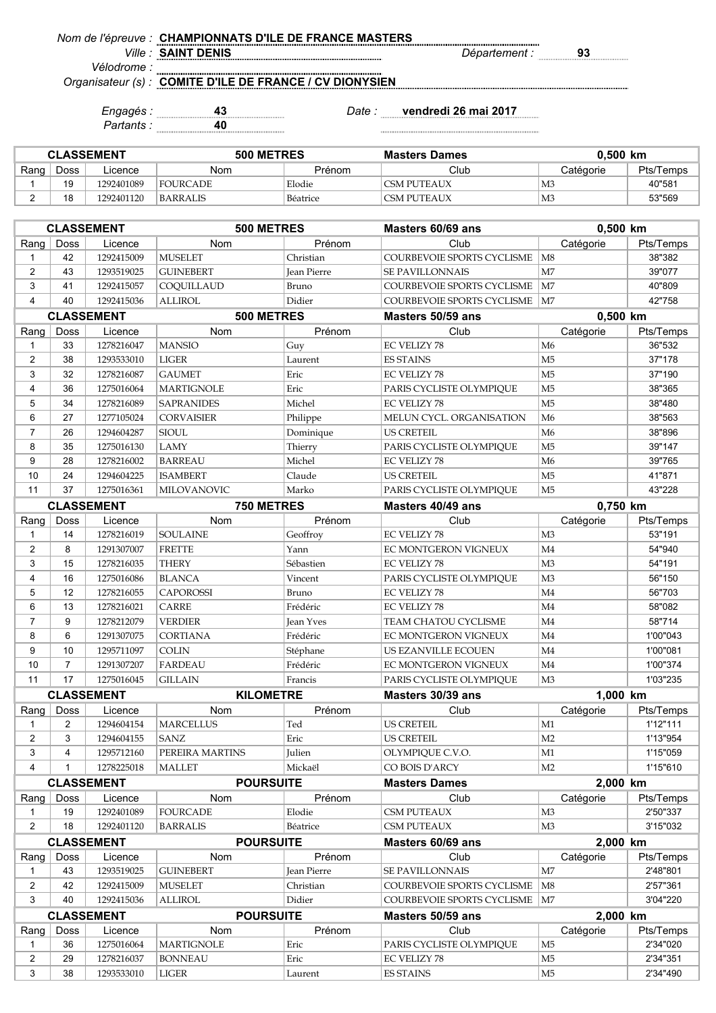*Nom de l'épreuve :* **CHAMPIONNATS D'ILE DE FRANCE MASTERS**

*Ville : Département :* **93 SAINT DENIS**

*Vélodrome : Organisateur (s) :*

**COMITE D'ILE DE FRANCE / CV DIONYSIEN**

*Partants :* **40**

*Engagés :* **43** *Date :* **vendredi 26 mai 2017**

| <b>CLASSEMENT</b> |      |            | 500 METRES      |          | <b>Masters Dames</b> | $0.500$ km     |           |
|-------------------|------|------------|-----------------|----------|----------------------|----------------|-----------|
| Rang              | Doss | Licence    | Nom             | Prénom   | Club                 | Catégorie      | Pts/Temps |
|                   | 19   | 1292401089 | <b>FOURCADE</b> | Elodie   | CSM PUTEAUX          | M3             | 40"581    |
|                   | 18   | 1292401120 | BARRALIS        | Béatrice | CSM PUTEAUX          | M <sub>3</sub> | 53"569    |

| <b>CLASSEMENT</b> |                                 |                   | 500 METRES        |               | Masters 60/69 ans               | 0,500 km       |           |
|-------------------|---------------------------------|-------------------|-------------------|---------------|---------------------------------|----------------|-----------|
| Rang              | <b>Doss</b>                     | Licence           | Nom               | Prénom        | Club                            | Catégorie      | Pts/Temps |
| $\mathbf{1}$      | 42                              | 1292415009        | <b>MUSELET</b>    | Christian     | COURBEVOIE SPORTS CYCLISME      | M <sub>8</sub> | 38"382    |
| $\overline{2}$    | 43                              | 1293519025        | <b>GUINEBERT</b>  | Jean Pierre   | <b>SE PAVILLONNAIS</b>          | M <sub>7</sub> | 39"077    |
| 3                 | 41                              | 1292415057        | COQUILLAUD        | Bruno         | COURBEVOIE SPORTS CYCLISME   M7 |                | 40"809    |
| $\overline{4}$    | 40                              | 1292415036        | <b>ALLIROL</b>    | Didier        | COURBEVOIE SPORTS CYCLISME   M7 |                | 42"758    |
|                   | <b>CLASSEMENT</b><br>500 METRES |                   |                   |               | Masters 50/59 ans               | 0,500 km       |           |
| Rang              | Doss                            | Licence           | Nom               | Prénom        | Club                            | Catégorie      | Pts/Temps |
| $\mathbf{1}$      | 33                              | 1278216047        | <b>MANSIO</b>     | Guy           | <b>EC VELIZY 78</b>             | M6             | 36"532    |
| $\overline{2}$    | 38                              | 1293533010        | <b>LIGER</b>      | Laurent       | <b>ES STAINS</b>                | M <sub>5</sub> | 37"178    |
| 3                 | 32                              | 1278216087        | <b>GAUMET</b>     | Eric          | EC VELIZY 78                    | M <sub>5</sub> | 37"190    |
| $\overline{4}$    | 36                              | 1275016064        | <b>MARTIGNOLE</b> | Eric          | PARIS CYCLISTE OLYMPIQUE        | M <sub>5</sub> | 38"365    |
| 5                 | 34                              | 1278216089        | <b>SAPRANIDES</b> | Michel        | EC VELIZY 78                    | M <sub>5</sub> | 38"480    |
| 6                 | 27                              | 1277105024        | CORVAISIER        | Philippe      | MELUN CYCL. ORGANISATION        | M <sub>6</sub> | 38"563    |
| $\overline{7}$    | 26                              | 1294604287        | <b>SIOUL</b>      | Dominique     | US CRETEIL                      | M <sub>6</sub> | 38"896    |
| 8                 | 35                              | 1275016130        | LAMY              | Thierry       | PARIS CYCLISTE OLYMPIQUE        | M <sub>5</sub> | 39"147    |
| 9                 | 28                              | 1278216002        | <b>BARREAU</b>    | Michel        | EC VELIZY 78                    | M <sub>6</sub> | 39"765    |
| 10                | 24                              | 1294604225        | <b>ISAMBERT</b>   | Claude        | <b>US CRETEIL</b>               | M <sub>5</sub> | 41"871    |
| 11                | 37                              | 1275016361        | MILOVANOVIC       | Marko         | PARIS CYCLISTE OLYMPIQUE        | M <sub>5</sub> | 43"228    |
|                   |                                 | <b>CLASSEMENT</b> | 750 METRES        |               | Masters 40/49 ans               | 0,750 km       |           |
| Rang              | Doss                            | Licence           | Nom               | Prénom        | Club                            | Catégorie      | Pts/Temps |
| $\mathbf{1}$      | 14                              | 1278216019        | <b>SOULAINE</b>   | Geoffroy      | <b>EC VELIZY 78</b>             | M <sub>3</sub> | 53"191    |
| 2                 | 8                               | 1291307007        | <b>FRETTE</b>     | Yann          | EC MONTGERON VIGNEUX            | M4             | 54"940    |
| 3                 | 15                              | 1278216035        | THERY             | Sébastien     | <b>EC VELIZY 78</b>             | M <sub>3</sub> | 54"191    |
| 4                 | 16                              | 1275016086        | <b>BLANCA</b>     | Vincent       | PARIS CYCLISTE OLYMPIQUE        | M <sub>3</sub> | 56"150    |
| 5                 | 12                              | 1278216055        | <b>CAPOROSSI</b>  | Bruno         | <b>EC VELIZY 78</b>             | M4             | 56"703    |
| 6                 | 13                              | 1278216021        | <b>CARRE</b>      | Frédéric      | <b>EC VELIZY 78</b>             | M4             | 58"082    |
| $\overline{7}$    | 9                               | 1278212079        | VERDIER           | Jean Yves     | TEAM CHATOU CYCLISME            | M4             | 58"714    |
| 8                 | 6                               | 1291307075        | <b>CORTIANA</b>   | Frédéric      | EC MONTGERON VIGNEUX            | M4             | 1'00"043  |
| 9                 | 10                              | 1295711097        | <b>COLIN</b>      | Stéphane      | US EZANVILLE ECOUEN             | M4             | 1'00"081  |
| 10                | $\overline{7}$                  | 1291307207        | <b>FARDEAU</b>    | Frédéric      | EC MONTGERON VIGNEUX            | M4             | 1'00"374  |
| 11                | 17                              | 1275016045        | <b>GILLAIN</b>    | Francis       | PARIS CYCLISTE OLYMPIQUE        | M <sub>3</sub> | 1'03"235  |
|                   |                                 | <b>CLASSEMENT</b> | <b>KILOMETRE</b>  |               | Masters 30/39 ans               | 1,000 km       |           |
| Rang              | Doss                            | Licence           | Nom               | Prénom        | Club                            | Catégorie      | Pts/Temps |
| $\mathbf{1}$      | 2                               | 1294604154        | <b>MARCELLUS</b>  | Ted           | <b>US CRETEIL</b>               | M1             | 1'12"111  |
| $\overline{2}$    | 3                               | 1294604155        | SANZ              | Eric          | <b>US CRETEIL</b>               | M <sub>2</sub> | 1'13"954  |
| 3                 | $\overline{4}$                  | 1295712160        | PEREIRA MARTINS   | <b>Julien</b> | OLYMPIQUE C.V.O.                | M1             | 1'15"059  |
| 4                 | $\mathbf{1}$                    | 1278225018        | MALLET            | Mickaël       | CO BOIS D'ARCY                  | M <sub>2</sub> | 1'15"610  |
| <b>CLASSEMENT</b> |                                 |                   | <b>POURSUITE</b>  |               | <b>Masters Dames</b>            | 2,000 km       |           |
| Rang $ $          | Doss                            | Licence           | Nom               | Prénom        | Club                            | Catégorie      | Pts/Temps |
| $\mathbf{1}$      | 19                              | 1292401089        | <b>FOURCADE</b>   | Elodie        | CSM PUTEAUX                     | M3             | 2'50"337  |
| $\overline{2}$    | 18                              | 1292401120        | <b>BARRALIS</b>   | Béatrice      | <b>CSM PUTEAUX</b>              | M3             | 3'15"032  |
| <b>CLASSEMENT</b> |                                 |                   | <b>POURSUITE</b>  |               | Masters 60/69 ans               | 2,000 km       |           |
| Rang              | Doss                            | Licence           | Nom               | Prénom        | Club                            | Catégorie      | Pts/Temps |
| $\mathbf{1}$      | 43                              | 1293519025        | <b>GUINEBERT</b>  | Jean Pierre   | SE PAVILLONNAIS                 | M7             | 2'48"801  |
| $\overline{2}$    | 42                              | 1292415009        | <b>MUSELET</b>    | Christian     | COURBEVOIE SPORTS CYCLISME      | M <sub>8</sub> | 2'57"361  |
| 3                 | 40                              | 1292415036        | <b>ALLIROL</b>    | Didier        | COURBEVOIE SPORTS CYCLISME   M7 |                | 3'04"220  |
|                   |                                 | <b>CLASSEMENT</b> | <b>POURSUITE</b>  |               | Masters 50/59 ans               | 2,000 km       |           |
| Rang              | Doss                            | Licence           | Nom               | Prénom        | Club                            | Catégorie      | Pts/Temps |
| $\mathbf{1}$      | 36                              | 1275016064        | <b>MARTIGNOLE</b> | Eric          | PARIS CYCLISTE OLYMPIQUE        | M <sub>5</sub> | 2'34"020  |
| $\overline{2}$    | 29                              | 1278216037        | <b>BONNEAU</b>    | Eric          | EC VELIZY 78                    | M <sub>5</sub> | 2'34"351  |
| 3                 | 38                              | 1293533010        | <b>LIGER</b>      | Laurent       | <b>ES STAINS</b>                | M <sub>5</sub> | 2'34"490  |